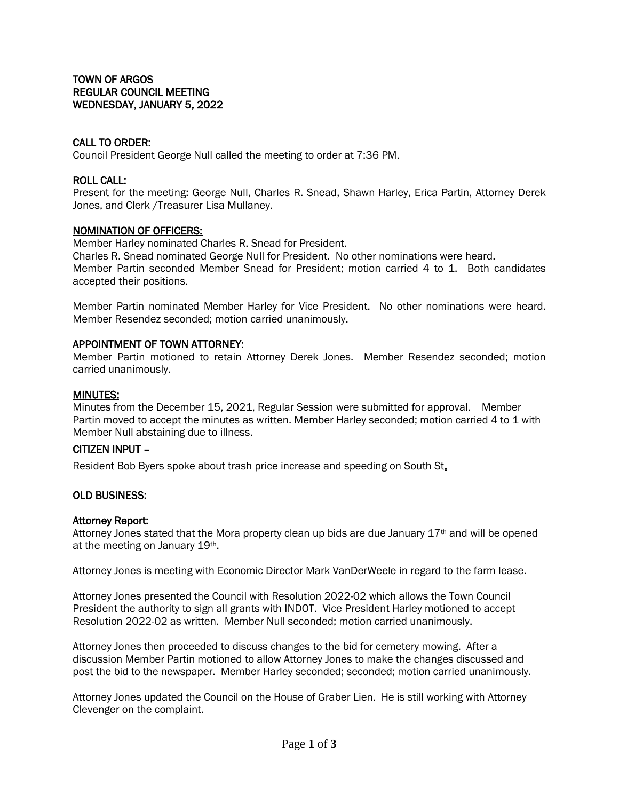## CALL TO ORDER:

Council President George Null called the meeting to order at 7:36 PM.

### ROLL CALL:

Present for the meeting: George Null, Charles R. Snead, Shawn Harley, Erica Partin, Attorney Derek Jones, and Clerk /Treasurer Lisa Mullaney.

### NOMINATION OF OFFICERS:

Member Harley nominated Charles R. Snead for President.

Charles R. Snead nominated George Null for President. No other nominations were heard. Member Partin seconded Member Snead for President; motion carried 4 to 1. Both candidates accepted their positions.

Member Partin nominated Member Harley for Vice President. No other nominations were heard. Member Resendez seconded; motion carried unanimously.

### APPOINTMENT OF TOWN ATTORNEY:

Member Partin motioned to retain Attorney Derek Jones. Member Resendez seconded; motion carried unanimously.

#### MINUTES:

Minutes from the December 15, 2021, Regular Session were submitted for approval. Member Partin moved to accept the minutes as written. Member Harley seconded; motion carried 4 to 1 with Member Null abstaining due to illness.

## CITIZEN INPUT –

Resident Bob Byers spoke about trash price increase and speeding on South St.

#### OLD BUSINESS:

#### Attorney Report:

Attorney Jones stated that the Mora property clean up bids are due January  $17<sup>th</sup>$  and will be opened at the meeting on January 19th.

Attorney Jones is meeting with Economic Director Mark VanDerWeele in regard to the farm lease.

Attorney Jones presented the Council with Resolution 2022-02 which allows the Town Council President the authority to sign all grants with INDOT. Vice President Harley motioned to accept Resolution 2022-02 as written. Member Null seconded; motion carried unanimously.

Attorney Jones then proceeded to discuss changes to the bid for cemetery mowing. After a discussion Member Partin motioned to allow Attorney Jones to make the changes discussed and post the bid to the newspaper. Member Harley seconded; seconded; motion carried unanimously.

Attorney Jones updated the Council on the House of Graber Lien. He is still working with Attorney Clevenger on the complaint.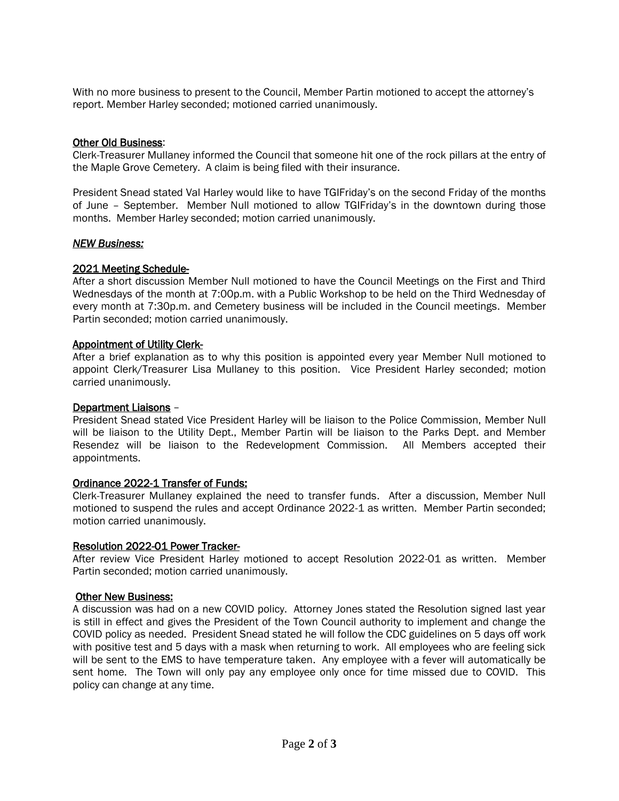With no more business to present to the Council, Member Partin motioned to accept the attorney's report. Member Harley seconded; motioned carried unanimously.

## Other Old Business:

Clerk-Treasurer Mullaney informed the Council that someone hit one of the rock pillars at the entry of the Maple Grove Cemetery. A claim is being filed with their insurance.

President Snead stated Val Harley would like to have TGIFriday's on the second Friday of the months of June – September. Member Null motioned to allow TGIFriday's in the downtown during those months. Member Harley seconded; motion carried unanimously.

## *NEW Business:*

## 2021 Meeting Schedule-

After a short discussion Member Null motioned to have the Council Meetings on the First and Third Wednesdays of the month at 7:00p.m. with a Public Workshop to be held on the Third Wednesday of every month at 7:30p.m. and Cemetery business will be included in the Council meetings. Member Partin seconded; motion carried unanimously.

## Appointment of Utility Clerk-

After a brief explanation as to why this position is appointed every year Member Null motioned to appoint Clerk/Treasurer Lisa Mullaney to this position. Vice President Harley seconded; motion carried unanimously.

## Department Liaisons –

President Snead stated Vice President Harley will be liaison to the Police Commission, Member Null will be liaison to the Utility Dept., Member Partin will be liaison to the Parks Dept. and Member Resendez will be liaison to the Redevelopment Commission. All Members accepted their appointments.

# Ordinance 2022-1 Transfer of Funds:

Clerk-Treasurer Mullaney explained the need to transfer funds. After a discussion, Member Null motioned to suspend the rules and accept Ordinance 2022-1 as written. Member Partin seconded; motion carried unanimously.

## Resolution 2022-01 Power Tracker-

After review Vice President Harley motioned to accept Resolution 2022-01 as written. Member Partin seconded; motion carried unanimously.

# Other New Business:

A discussion was had on a new COVID policy. Attorney Jones stated the Resolution signed last year is still in effect and gives the President of the Town Council authority to implement and change the COVID policy as needed. President Snead stated he will follow the CDC guidelines on 5 days off work with positive test and 5 days with a mask when returning to work. All employees who are feeling sick will be sent to the EMS to have temperature taken. Any employee with a fever will automatically be sent home. The Town will only pay any employee only once for time missed due to COVID. This policy can change at any time.